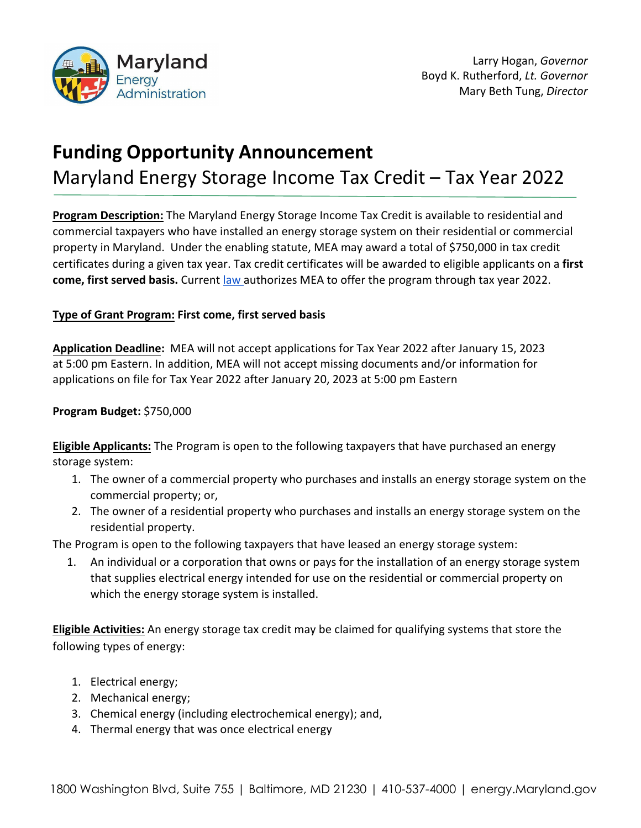

# **Funding Opportunity Announcement** Maryland Energy Storage Income Tax Credit – Tax Year 2022

**Program Description:** The Maryland Energy Storage Income Tax Credit is available to residential and commercial taxpayers who have installed an energy storage system on their residential or commercial property in Maryland. Under the enabling statute, MEA may award a total of \$750,000 in tax credit certificates during a given tax year. Tax credit certificates will be awarded to eligible applicants on a **first come, first served basis.** Current [law a](https://mgaleg.maryland.gov/2020RS/chapters_noln/Ch_636_hb0980T.pdf)uthorizes MEA to offer the program through tax year 2022.

## **Type of Grant Program: First come, first served basis**

**Application Deadline:** MEA will not accept applications for Tax Year 2022 after January 15, 2023 at 5:00 pm Eastern. In addition, MEA will not accept missing documents and/or information for applications on file for Tax Year 2022 after January 20, 2023 at 5:00 pm Eastern

# **Program Budget:** \$750,000

**Eligible Applicants:** The Program is open to the following taxpayers that have purchased an energy storage system:

- 1. The owner of a commercial property who purchases and installs an energy storage system on the commercial property; or,
- 2. The owner of a residential property who purchases and installs an energy storage system on the residential property.

The Program is open to the following taxpayers that have leased an energy storage system:

1. An individual or a corporation that owns or pays for the installation of an energy storage system that supplies electrical energy intended for use on the residential or commercial property on which the energy storage system is installed.

**Eligible Activities:** An energy storage tax credit may be claimed for qualifying systems that store the following types of energy:

- 1. Electrical energy;
- 2. Mechanical energy;
- 3. Chemical energy (including electrochemical energy); and,
- 4. Thermal energy that was once electrical energy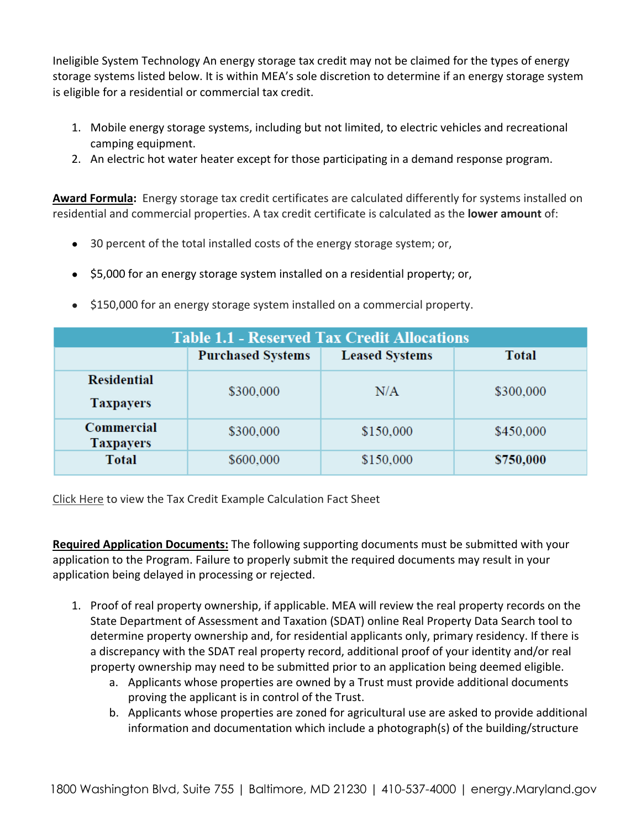Ineligible System Technology An energy storage tax credit may not be claimed for the types of energy storage systems listed below. It is within MEA's sole discretion to determine if an energy storage system is eligible for a residential or commercial tax credit.

- 1. Mobile energy storage systems, including but not limited, to electric vehicles and recreational camping equipment.
- 2. An electric hot water heater except for those participating in a demand response program.

**Award Formula:** Energy storage tax credit certificates are calculated differently for systems installed on residential and commercial properties. A tax credit certificate is calculated as the **lower amount** of:

- 30 percent of the total installed costs of the energy storage system; or,
- \$5,000 for an energy storage system installed on a residential property; or,
- \$150,000 for an energy storage system installed on a commercial property.

| <b>Table 1.1 - Reserved Tax Credit Allocations</b> |                          |                       |              |
|----------------------------------------------------|--------------------------|-----------------------|--------------|
|                                                    | <b>Purchased Systems</b> | <b>Leased Systems</b> | <b>Total</b> |
| <b>Residential</b><br><b>Taxpayers</b>             | \$300,000                | N/A                   | \$300,000    |
| <b>Commercial</b><br><b>Taxpayers</b>              | \$300,000                | \$150,000             | \$450,000    |
| <b>Total</b>                                       | \$600,000                | \$150,000             | \$750,000    |

[Click Here](https://energy.maryland.gov/business/Documents/Tax%20Credit%20Example%20Calculations.pdf) to view the Tax Credit Example Calculation Fact Sheet

**Required Application Documents:** The following supporting documents must be submitted with your application to the Program. Failure to properly submit the required documents may result in your application being delayed in processing or rejected.

- 1. Proof of real property ownership, if applicable. MEA will review the real property records on the State Department of Assessment and Taxation (SDAT) online Real Property Data Search tool to determine property ownership and, for residential applicants only, primary residency. If there is a discrepancy with the SDAT real property record, additional proof of your identity and/or real property ownership may need to be submitted prior to an application being deemed eligible.
	- a. Applicants whose properties are owned by a Trust must provide additional documents proving the applicant is in control of the Trust.
	- b. Applicants whose properties are zoned for agricultural use are asked to provide additional information and documentation which include a photograph(s) of the building/structure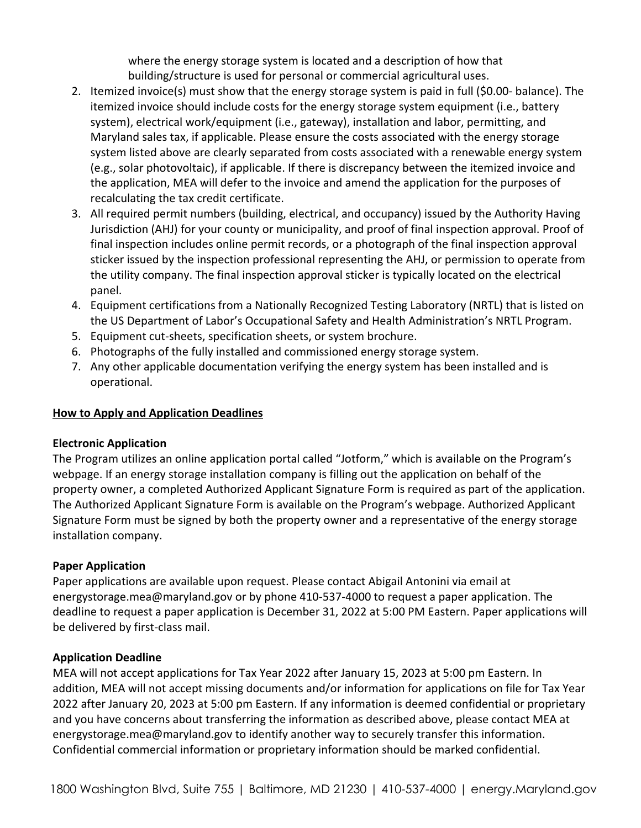where the energy storage system is located and a description of how that building/structure is used for personal or commercial agricultural uses.

- 2. Itemized invoice(s) must show that the energy storage system is paid in full (\$0.00- balance). The itemized invoice should include costs for the energy storage system equipment (i.e., battery system), electrical work/equipment (i.e., gateway), installation and labor, permitting, and Maryland sales tax, if applicable. Please ensure the costs associated with the energy storage system listed above are clearly separated from costs associated with a renewable energy system (e.g., solar photovoltaic), if applicable. If there is discrepancy between the itemized invoice and the application, MEA will defer to the invoice and amend the application for the purposes of recalculating the tax credit certificate.
- 3. All required permit numbers (building, electrical, and occupancy) issued by the Authority Having Jurisdiction (AHJ) for your county or municipality, and proof of final inspection approval. Proof of final inspection includes online permit records, or a photograph of the final inspection approval sticker issued by the inspection professional representing the AHJ, or permission to operate from the utility company. The final inspection approval sticker is typically located on the electrical panel.
- 4. Equipment certifications from a Nationally Recognized Testing Laboratory (NRTL) that is listed on the US Department of Labor's Occupational Safety and Health Administration's NRTL Program.
- 5. Equipment cut-sheets, specification sheets, or system brochure.
- 6. Photographs of the fully installed and commissioned energy storage system.
- 7. Any other applicable documentation verifying the energy system has been installed and is operational.

## **How to Apply and Application Deadlines**

#### **Electronic Application**

The Program utilizes an online application portal called "Jotform," which is available on the Program's webpage. If an energy storage installation company is filling out the application on behalf of the property owner, a completed Authorized Applicant Signature Form is required as part of the application. The Authorized Applicant Signature Form is available on the Program's webpage. Authorized Applicant Signature Form must be signed by both the property owner and a representative of the energy storage installation company.

## **Paper Application**

Paper applications are available upon request. Please contact Abigail Antonini via email at energystorage.mea@maryland.gov or by phone 410-537-4000 to request a paper application. The deadline to request a paper application is December 31, 2022 at 5:00 PM Eastern. Paper applications will be delivered by first-class mail.

#### **Application Deadline**

MEA will not accept applications for Tax Year 2022 after January 15, 2023 at 5:00 pm Eastern. In addition, MEA will not accept missing documents and/or information for applications on file for Tax Year 2022 after January 20, 2023 at 5:00 pm Eastern. If any information is deemed confidential or proprietary and you have concerns about transferring the information as described above, please contact MEA at energystorage.mea@maryland.gov to identify another way to securely transfer this information. Confidential commercial information or proprietary information should be marked confidential.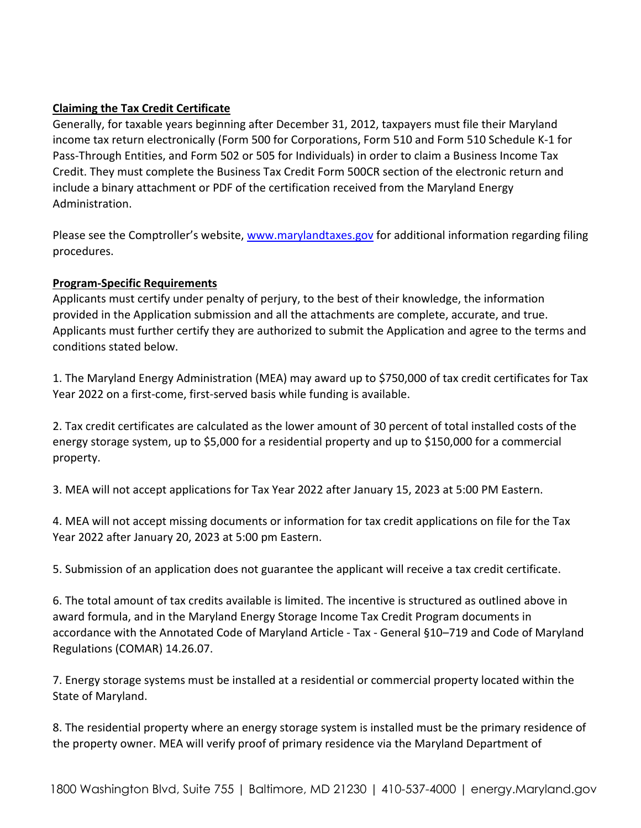## **Claiming the Tax Credit Certificate**

Generally, for taxable years beginning after December 31, 2012, taxpayers must file their Maryland income tax return electronically (Form 500 for Corporations, Form 510 and Form 510 Schedule K-1 for Pass-Through Entities, and Form 502 or 505 for Individuals) in order to claim a Business Income Tax Credit. They must complete the Business Tax Credit Form 500CR section of the electronic return and include a binary attachment or PDF of the certification received from the Maryland Energy Administration.

Please see the Comptroller's website, [www.marylandtaxes.gov](about:blank) for additional information regarding filing procedures.

## **Program-Specific Requirements**

Applicants must certify under penalty of perjury, to the best of their knowledge, the information provided in the Application submission and all the attachments are complete, accurate, and true. Applicants must further certify they are authorized to submit the Application and agree to the terms and conditions stated below.

1. The Maryland Energy Administration (MEA) may award up to \$750,000 of tax credit certificates for Tax Year 2022 on a first-come, first-served basis while funding is available.

2. Tax credit certificates are calculated as the lower amount of 30 percent of total installed costs of the energy storage system, up to \$5,000 for a residential property and up to \$150,000 for a commercial property.

3. MEA will not accept applications for Tax Year 2022 after January 15, 2023 at 5:00 PM Eastern.

4. MEA will not accept missing documents or information for tax credit applications on file for the Tax Year 2022 after January 20, 2023 at 5:00 pm Eastern.

5. Submission of an application does not guarantee the applicant will receive a tax credit certificate.

6. The total amount of tax credits available is limited. The incentive is structured as outlined above in award formula, and in the Maryland Energy Storage Income Tax Credit Program documents in accordance with the Annotated Code of Maryland Article - Tax - General §10–719 and Code of Maryland Regulations (COMAR) 14.26.07.

7. Energy storage systems must be installed at a residential or commercial property located within the State of Maryland.

8. The residential property where an energy storage system is installed must be the primary residence of the property owner. MEA will verify proof of primary residence via the Maryland Department of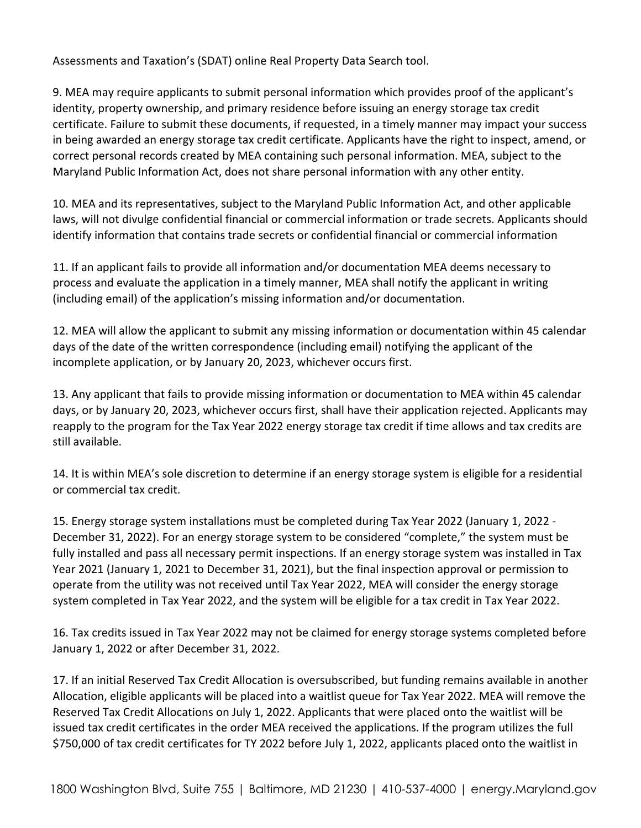Assessments and Taxation's (SDAT) online Real Property Data Search tool.

9. MEA may require applicants to submit personal information which provides proof of the applicant's identity, property ownership, and primary residence before issuing an energy storage tax credit certificate. Failure to submit these documents, if requested, in a timely manner may impact your success in being awarded an energy storage tax credit certificate. Applicants have the right to inspect, amend, or correct personal records created by MEA containing such personal information. MEA, subject to the Maryland Public Information Act, does not share personal information with any other entity.

10. MEA and its representatives, subject to the Maryland Public Information Act, and other applicable laws, will not divulge confidential financial or commercial information or trade secrets. Applicants should identify information that contains trade secrets or confidential financial or commercial information

11. If an applicant fails to provide all information and/or documentation MEA deems necessary to process and evaluate the application in a timely manner, MEA shall notify the applicant in writing (including email) of the application's missing information and/or documentation.

12. MEA will allow the applicant to submit any missing information or documentation within 45 calendar days of the date of the written correspondence (including email) notifying the applicant of the incomplete application, or by January 20, 2023, whichever occurs first.

13. Any applicant that fails to provide missing information or documentation to MEA within 45 calendar days, or by January 20, 2023, whichever occurs first, shall have their application rejected. Applicants may reapply to the program for the Tax Year 2022 energy storage tax credit if time allows and tax credits are still available.

14. It is within MEA's sole discretion to determine if an energy storage system is eligible for a residential or commercial tax credit.

15. Energy storage system installations must be completed during Tax Year 2022 (January 1, 2022 - December 31, 2022). For an energy storage system to be considered "complete," the system must be fully installed and pass all necessary permit inspections. If an energy storage system was installed in Tax Year 2021 (January 1, 2021 to December 31, 2021), but the final inspection approval or permission to operate from the utility was not received until Tax Year 2022, MEA will consider the energy storage system completed in Tax Year 2022, and the system will be eligible for a tax credit in Tax Year 2022.

16. Tax credits issued in Tax Year 2022 may not be claimed for energy storage systems completed before January 1, 2022 or after December 31, 2022.

17. If an initial Reserved Tax Credit Allocation is oversubscribed, but funding remains available in another Allocation, eligible applicants will be placed into a waitlist queue for Tax Year 2022. MEA will remove the Reserved Tax Credit Allocations on July 1, 2022. Applicants that were placed onto the waitlist will be issued tax credit certificates in the order MEA received the applications. If the program utilizes the full \$750,000 of tax credit certificates for TY 2022 before July 1, 2022, applicants placed onto the waitlist in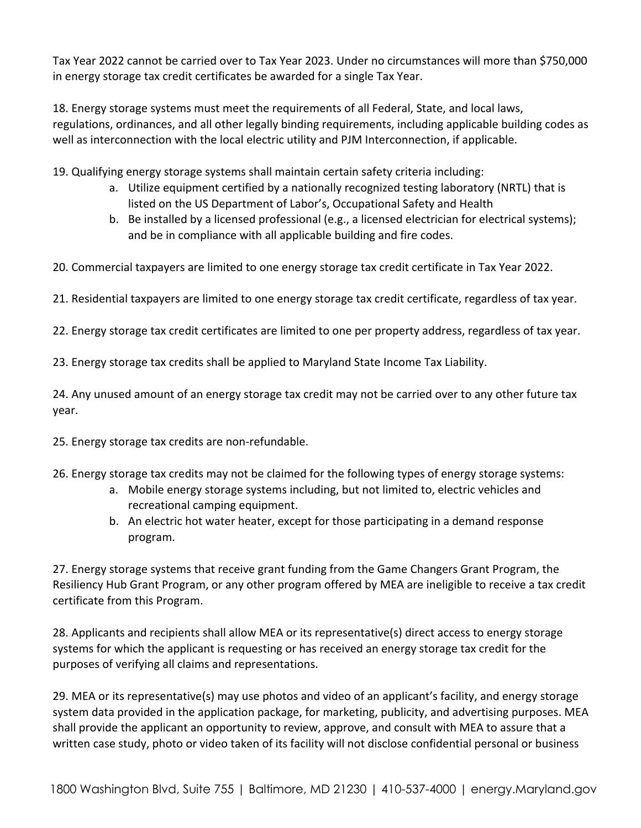Tax Year 2022 cannot be carried over to Tax Year 2023. Under no circumstances will more than \$750,000 in energy storage tax credit certificates be awarded for a single Tax Year.

18. Energy storage systems must meet the requirements of all Federal, State, and local laws, regulations, ordinances, and all other legally binding requirements, including applicable building codes as well as interconnection with the local electric utility and PJM Interconnection, if applicable.

19. Qualifying energy storage systems shall maintain certain safety criteria including:

- a. Utilize equipment certified by a nationally recognized testing laboratory (NRTL) that is listed on the US Department of Labor's, Occupational Safety and Health
- b. Be installed by a licensed professional (e.g., a licensed electrician for electrical systems); and be in compliance with all applicable building and fire codes.

20. Commercial taxpayers are limited to one energy storage tax credit certificate in Tax Year 2022.

21. Residential taxpayers are limited to one energy storage tax credit certificate, regardless of tax year.

22. Energy storage tax credit certificates are limited to one per property address, regardless of tax year.

23. Energy storage tax credits shall be applied to Maryland State Income Tax Liability.

24. Any unused amount of an energy storage tax credit may not be carried over to any other future tax year.

25. Energy storage tax credits are non-refundable.

- 26. Energy storage tax credits may not be claimed for the following types of energy storage systems:
	- a. Mobile energy storage systems including, but not limited to, electric vehicles and recreational camping equipment.
	- b. An electric hot water heater, except for those participating in a demand response program.

27. Energy storage systems that receive grant funding from the Game Changers Grant Program, the Resiliency Hub Grant Program, or any other program offered by MEA are ineligible to receive a tax credit certificate from this Program.

28. Applicants and recipients shall allow MEA or its representative(s) direct access to energy storage systems for which the applicant is requesting or has received an energy storage tax credit for the purposes of verifying all claims and representations.

29. MEA or its representative(s) may use photos and video of an applicant's facility, and energy storage system data provided in the application package, for marketing, publicity, and advertising purposes. MEA shall provide the applicant an opportunity to review, approve, and consult with MEA to assure that a written case study, photo or video taken of its facility will not disclose confidential personal or business